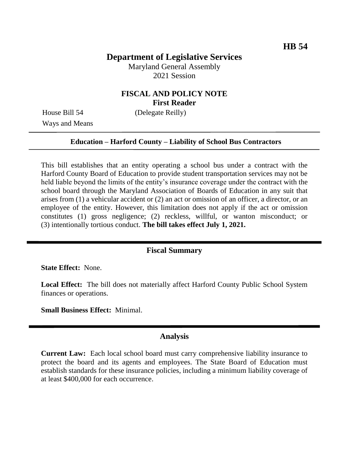## **Department of Legislative Services**

Maryland General Assembly 2021 Session

### **FISCAL AND POLICY NOTE First Reader**

Ways and Means

House Bill 54 (Delegate Reilly)

#### **Education – Harford County – Liability of School Bus Contractors**

This bill establishes that an entity operating a school bus under a contract with the Harford County Board of Education to provide student transportation services may not be held liable beyond the limits of the entity's insurance coverage under the contract with the school board through the Maryland Association of Boards of Education in any suit that arises from (1) a vehicular accident or (2) an act or omission of an officer, a director, or an employee of the entity. However, this limitation does not apply if the act or omission constitutes (1) gross negligence; (2) reckless, willful, or wanton misconduct; or (3) intentionally tortious conduct. **The bill takes effect July 1, 2021.**

#### **Fiscal Summary**

**State Effect:** None.

**Local Effect:** The bill does not materially affect Harford County Public School System finances or operations.

**Small Business Effect:** Minimal.

#### **Analysis**

**Current Law:** Each local school board must carry comprehensive liability insurance to protect the board and its agents and employees. The State Board of Education must establish standards for these insurance policies, including a minimum liability coverage of at least \$400,000 for each occurrence.